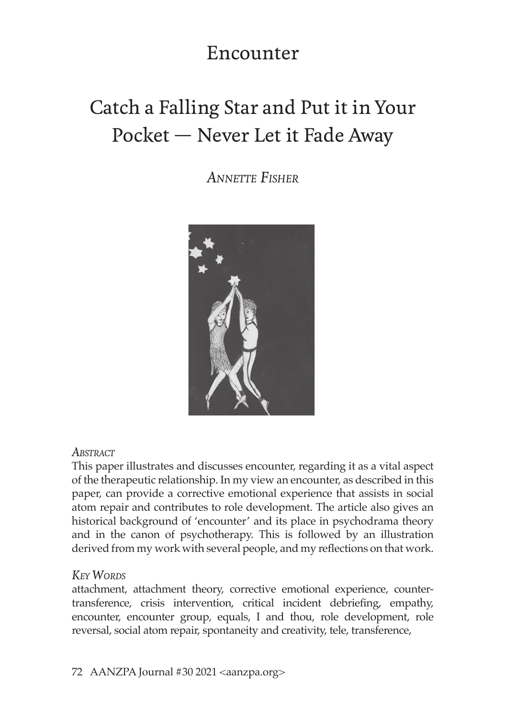## Encounter

# Catch a Falling Star and Put it in Your Pocket — Never Let it Fade Away

*Annette Fisher*



#### *Abstract*

This paper illustrates and discusses encounter, regarding it as a vital aspect of the therapeutic relationship. In my view an encounter, as described in this paper, can provide a corrective emotional experience that assists in social atom repair and contributes to role development. The article also gives an historical background of 'encounter' and its place in psychodrama theory and in the canon of psychotherapy. This is followed by an illustration derived from my work with several people, and my reflections on that work.

### *Key Words*

attachment, attachment theory, corrective emotional experience, countertransference, crisis intervention, critical incident debriefing, empathy, encounter, encounter group, equals, I and thou, role development, role reversal, social atom repair, spontaneity and creativity, tele, transference,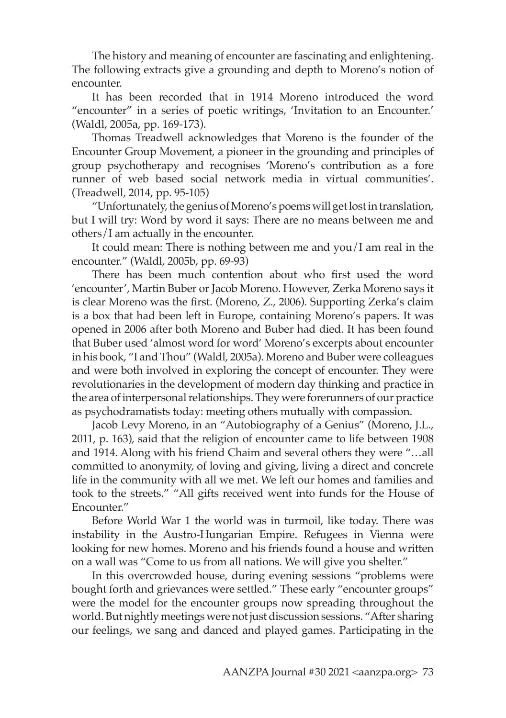The history and meaning of encounter are fascinating and enlightening. The following extracts give a grounding and depth to Moreno's notion of encounter.

It has been recorded that in 1914 Moreno introduced the word "encounter" in a series of poetic writings, 'Invitation to an Encounter.' (Waldl, 2005a, pp. 169-173).

Thomas Treadwell acknowledges that Moreno is the founder of the Encounter Group Movement, a pioneer in the grounding and principles of group psychotherapy and recognises 'Moreno's contribution as a fore runner of web based social network media in virtual communities'. (Treadwell, 2014, pp. 95-105)

"Unfortunately, the genius of Moreno's poems will get lost in translation, but I will try: Word by word it says: There are no means between me and others/I am actually in the encounter.

It could mean: There is nothing between me and you/I am real in the encounter." (Waldl, 2005b, pp. 69-93)

There has been much contention about who first used the word 'encounter', Martin Buber or Jacob Moreno. However, Zerka Moreno says it is clear Moreno was the first. (Moreno, Z., 2006). Supporting Zerka's claim is a box that had been left in Europe, containing Moreno's papers. It was opened in 2006 after both Moreno and Buber had died. It has been found that Buber used 'almost word for word' Moreno's excerpts about encounter in his book, "I and Thou" (Waldl, 2005a). Moreno and Buber were colleagues and were both involved in exploring the concept of encounter. They were revolutionaries in the development of modern day thinking and practice in the area of interpersonal relationships. They were forerunners of our practice as psychodramatists today: meeting others mutually with compassion.

Jacob Levy Moreno, in an "Autobiography of a Genius" (Moreno, J.L., 2011, p. 163), said that the religion of encounter came to life between 1908 and 1914. Along with his friend Chaim and several others they were "…all committed to anonymity, of loving and giving, living a direct and concrete life in the community with all we met. We left our homes and families and took to the streets." "All gifts received went into funds for the House of Encounter."

Before World War 1 the world was in turmoil, like today. There was instability in the Austro-Hungarian Empire. Refugees in Vienna were looking for new homes. Moreno and his friends found a house and written on a wall was "Come to us from all nations. We will give you shelter."

In this overcrowded house, during evening sessions "problems were bought forth and grievances were settled." These early "encounter groups" were the model for the encounter groups now spreading throughout the world. But nightly meetings were not just discussion sessions. "After sharing our feelings, we sang and danced and played games. Participating in the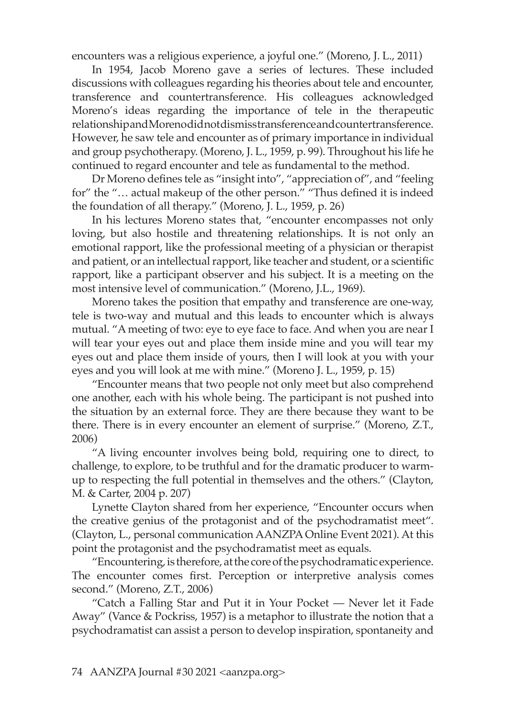encounters was a religious experience, a joyful one." (Moreno, J. L., 2011)

In 1954, Jacob Moreno gave a series of lectures. These included discussions with colleagues regarding his theories about tele and encounter, transference and countertransference. His colleagues acknowledged Moreno's ideas regarding the importance of tele in the therapeutic relationship and Moreno did not dismiss transference and countertransference. However, he saw tele and encounter as of primary importance in individual and group psychotherapy. (Moreno, J. L., 1959, p. 99). Throughout his life he continued to regard encounter and tele as fundamental to the method.

Dr Moreno defines tele as "insight into", "appreciation of", and "feeling for" the "… actual makeup of the other person." "Thus defined it is indeed the foundation of all therapy." (Moreno, J. L., 1959, p. 26)

In his lectures Moreno states that, "encounter encompasses not only loving, but also hostile and threatening relationships. It is not only an emotional rapport, like the professional meeting of a physician or therapist and patient, or an intellectual rapport, like teacher and student, or a scientific rapport, like a participant observer and his subject. It is a meeting on the most intensive level of communication." (Moreno, J.L., 1969).

Moreno takes the position that empathy and transference are one-way, tele is two-way and mutual and this leads to encounter which is always mutual. "A meeting of two: eye to eye face to face. And when you are near I will tear your eyes out and place them inside mine and you will tear my eyes out and place them inside of yours, then I will look at you with your eyes and you will look at me with mine." (Moreno J. L., 1959, p. 15)

"Encounter means that two people not only meet but also comprehend one another, each with his whole being. The participant is not pushed into the situation by an external force. They are there because they want to be there. There is in every encounter an element of surprise." (Moreno, Z.T., 2006)

"A living encounter involves being bold, requiring one to direct, to challenge, to explore, to be truthful and for the dramatic producer to warmup to respecting the full potential in themselves and the others." (Clayton, M. & Carter, 2004 p. 207)

Lynette Clayton shared from her experience, "Encounter occurs when the creative genius of the protagonist and of the psychodramatist meet". (Clayton, L., personal communication AANZPA Online Event 2021). At this point the protagonist and the psychodramatist meet as equals.

"Encountering, is therefore, at the core of the psychodramatic experience. The encounter comes first. Perception or interpretive analysis comes second." (Moreno, Z.T., 2006)

"Catch a Falling Star and Put it in Your Pocket — Never let it Fade Away" (Vance & Pockriss, 1957) is a metaphor to illustrate the notion that a psychodramatist can assist a person to develop inspiration, spontaneity and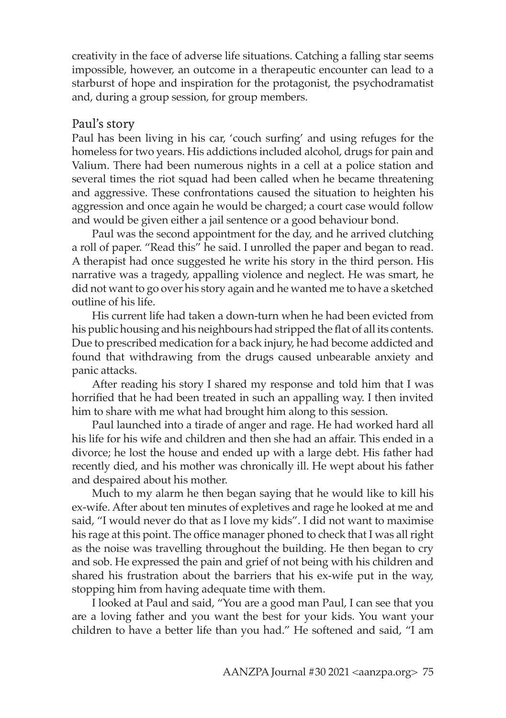creativity in the face of adverse life situations. Catching a falling star seems impossible, however, an outcome in a therapeutic encounter can lead to a starburst of hope and inspiration for the protagonist, the psychodramatist and, during a group session, for group members.

#### Paul's story

Paul has been living in his car, 'couch surfing' and using refuges for the homeless for two years. His addictions included alcohol, drugs for pain and Valium. There had been numerous nights in a cell at a police station and several times the riot squad had been called when he became threatening and aggressive. These confrontations caused the situation to heighten his aggression and once again he would be charged; a court case would follow and would be given either a jail sentence or a good behaviour bond.

Paul was the second appointment for the day, and he arrived clutching a roll of paper. "Read this" he said. I unrolled the paper and began to read. A therapist had once suggested he write his story in the third person. His narrative was a tragedy, appalling violence and neglect. He was smart, he did not want to go over his story again and he wanted me to have a sketched outline of his life.

His current life had taken a down-turn when he had been evicted from his public housing and his neighbours had stripped the flat of all its contents. Due to prescribed medication for a back injury, he had become addicted and found that withdrawing from the drugs caused unbearable anxiety and panic attacks.

After reading his story I shared my response and told him that I was horrified that he had been treated in such an appalling way. I then invited him to share with me what had brought him along to this session.

Paul launched into a tirade of anger and rage. He had worked hard all his life for his wife and children and then she had an affair. This ended in a divorce; he lost the house and ended up with a large debt. His father had recently died, and his mother was chronically ill. He wept about his father and despaired about his mother.

Much to my alarm he then began saying that he would like to kill his ex-wife. After about ten minutes of expletives and rage he looked at me and said, "I would never do that as I love my kids". I did not want to maximise his rage at this point. The office manager phoned to check that I was all right as the noise was travelling throughout the building. He then began to cry and sob. He expressed the pain and grief of not being with his children and shared his frustration about the barriers that his ex-wife put in the way, stopping him from having adequate time with them.

I looked at Paul and said, "You are a good man Paul, I can see that you are a loving father and you want the best for your kids. You want your children to have a better life than you had." He softened and said, "I am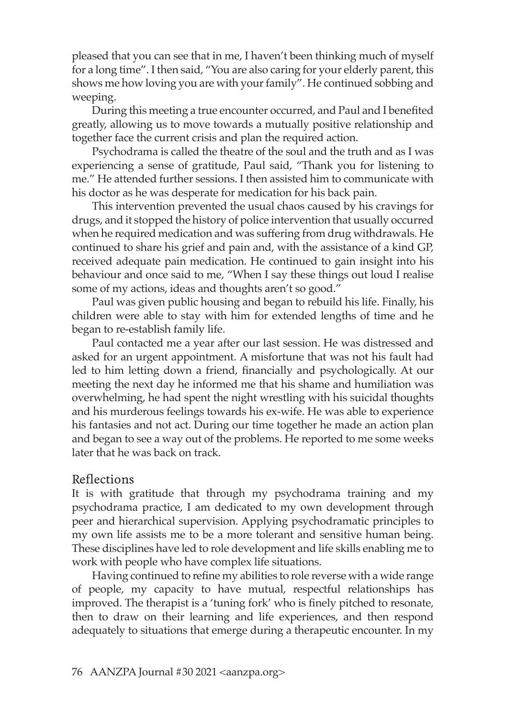pleased that you can see that in me, I haven't been thinking much of myself for a long time". I then said, "You are also caring for your elderly parent, this shows me how loving you are with your family". He continued sobbing and weeping.

During this meeting a true encounter occurred, and Paul and I benefited greatly, allowing us to move towards a mutually positive relationship and together face the current crisis and plan the required action.

Psychodrama is called the theatre of the soul and the truth and as I was experiencing a sense of gratitude, Paul said, "Thank you for listening to me." He attended further sessions. I then assisted him to communicate with his doctor as he was desperate for medication for his back pain.

This intervention prevented the usual chaos caused by his cravings for drugs, and it stopped the history of police intervention that usually occurred when he required medication and was suffering from drug withdrawals. He continued to share his grief and pain and, with the assistance of a kind GP, received adequate pain medication. He continued to gain insight into his behaviour and once said to me, "When I say these things out loud I realise some of my actions, ideas and thoughts aren't so good."

Paul was given public housing and began to rebuild his life. Finally, his children were able to stay with him for extended lengths of time and he began to re-establish family life.

Paul contacted me a year after our last session. He was distressed and asked for an urgent appointment. A misfortune that was not his fault had led to him letting down a friend, financially and psychologically. At our meeting the next day he informed me that his shame and humiliation was overwhelming, he had spent the night wrestling with his suicidal thoughts and his murderous feelings towards his ex-wife. He was able to experience his fantasies and not act. During our time together he made an action plan and began to see a way out of the problems. He reported to me some weeks later that he was back on track.

#### Reflections

It is with gratitude that through my psychodrama training and my psychodrama practice, I am dedicated to my own development through peer and hierarchical supervision. Applying psychodramatic principles to my own life assists me to be a more tolerant and sensitive human being. These disciplines have led to role development and life skills enabling me to work with people who have complex life situations.

Having continued to refine my abilities to role reverse with a wide range of people, my capacity to have mutual, respectful relationships has improved. The therapist is a 'tuning fork' who is finely pitched to resonate, then to draw on their learning and life experiences, and then respond adequately to situations that emerge during a therapeutic encounter. In my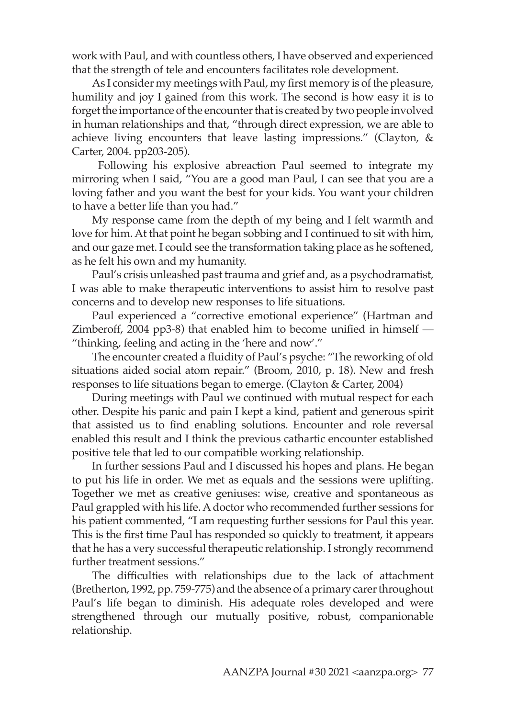work with Paul, and with countless others, I have observed and experienced that the strength of tele and encounters facilitates role development.

As I consider my meetings with Paul, my first memory is of the pleasure, humility and joy I gained from this work. The second is how easy it is to forget the importance of the encounter that is created by two people involved in human relationships and that, "through direct expression, we are able to achieve living encounters that leave lasting impressions." (Clayton, & Carter, 2004. pp203-205).

 Following his explosive abreaction Paul seemed to integrate my mirroring when I said, "You are a good man Paul, I can see that you are a loving father and you want the best for your kids. You want your children to have a better life than you had."

My response came from the depth of my being and I felt warmth and love for him. At that point he began sobbing and I continued to sit with him, and our gaze met. I could see the transformation taking place as he softened, as he felt his own and my humanity.

Paul's crisis unleashed past trauma and grief and, as a psychodramatist, I was able to make therapeutic interventions to assist him to resolve past concerns and to develop new responses to life situations.

Paul experienced a "corrective emotional experience" (Hartman and Zimberoff, 2004 pp3-8) that enabled him to become unified in himself — "thinking, feeling and acting in the 'here and now'."

The encounter created a fluidity of Paul's psyche: "The reworking of old situations aided social atom repair." (Broom, 2010, p. 18). New and fresh responses to life situations began to emerge. (Clayton & Carter, 2004)

During meetings with Paul we continued with mutual respect for each other. Despite his panic and pain I kept a kind, patient and generous spirit that assisted us to find enabling solutions. Encounter and role reversal enabled this result and I think the previous cathartic encounter established positive tele that led to our compatible working relationship.

In further sessions Paul and I discussed his hopes and plans. He began to put his life in order. We met as equals and the sessions were uplifting. Together we met as creative geniuses: wise, creative and spontaneous as Paul grappled with his life. A doctor who recommended further sessions for his patient commented, "I am requesting further sessions for Paul this year. This is the first time Paul has responded so quickly to treatment, it appears that he has a very successful therapeutic relationship. I strongly recommend further treatment sessions."

The difficulties with relationships due to the lack of attachment (Bretherton, 1992, pp. 759-775) and the absence of a primary carer throughout Paul's life began to diminish. His adequate roles developed and were strengthened through our mutually positive, robust, companionable relationship.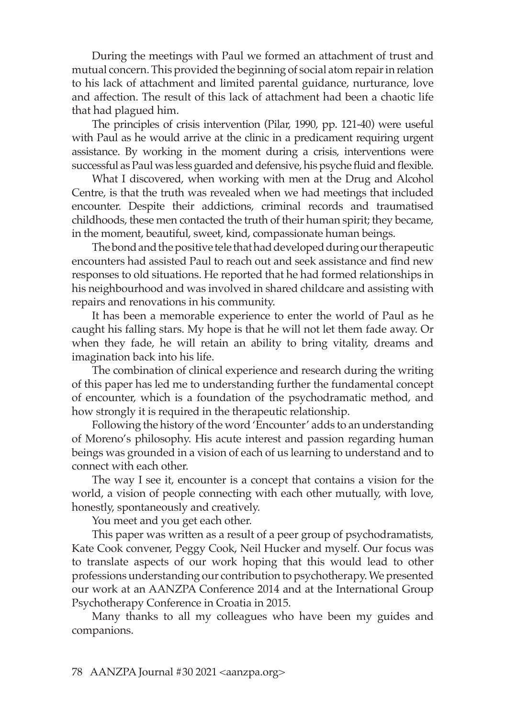During the meetings with Paul we formed an attachment of trust and mutual concern. This provided the beginning of social atom repair in relation to his lack of attachment and limited parental guidance, nurturance, love and affection. The result of this lack of attachment had been a chaotic life that had plagued him.

The principles of crisis intervention (Pilar, 1990, pp. 121-40) were useful with Paul as he would arrive at the clinic in a predicament requiring urgent assistance. By working in the moment during a crisis, interventions were successful as Paul was less guarded and defensive, his psyche fluid and flexible.

What I discovered, when working with men at the Drug and Alcohol Centre, is that the truth was revealed when we had meetings that included encounter. Despite their addictions, criminal records and traumatised childhoods, these men contacted the truth of their human spirit; they became, in the moment, beautiful, sweet, kind, compassionate human beings.

The bond and the positive tele that had developed during our therapeutic encounters had assisted Paul to reach out and seek assistance and find new responses to old situations. He reported that he had formed relationships in his neighbourhood and was involved in shared childcare and assisting with repairs and renovations in his community.

It has been a memorable experience to enter the world of Paul as he caught his falling stars. My hope is that he will not let them fade away. Or when they fade, he will retain an ability to bring vitality, dreams and imagination back into his life.

The combination of clinical experience and research during the writing of this paper has led me to understanding further the fundamental concept of encounter, which is a foundation of the psychodramatic method, and how strongly it is required in the therapeutic relationship.

Following the history of the word 'Encounter' adds to an understanding of Moreno's philosophy. His acute interest and passion regarding human beings was grounded in a vision of each of us learning to understand and to connect with each other.

The way I see it, encounter is a concept that contains a vision for the world, a vision of people connecting with each other mutually, with love, honestly, spontaneously and creatively.

You meet and you get each other.

This paper was written as a result of a peer group of psychodramatists, Kate Cook convener, Peggy Cook, Neil Hucker and myself. Our focus was to translate aspects of our work hoping that this would lead to other professions understanding our contribution to psychotherapy. We presented our work at an AANZPA Conference 2014 and at the International Group Psychotherapy Conference in Croatia in 2015.

Many thanks to all my colleagues who have been my guides and companions.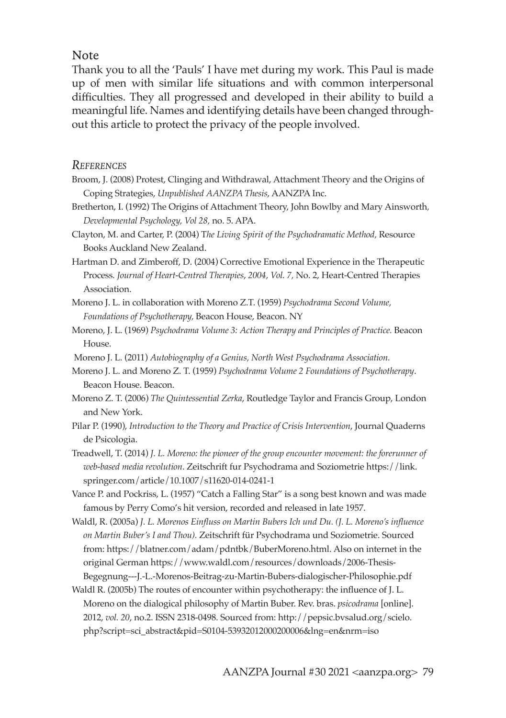#### Note

Thank you to all the 'Pauls' I have met during my work. This Paul is made up of men with similar life situations and with common interpersonal difficulties. They all progressed and developed in their ability to build a meaningful life. Names and identifying details have been changed throughout this article to protect the privacy of the people involved.

#### *References*

- Broom, J. (2008) Protest, Clinging and Withdrawal, Attachment Theory and the Origins of Coping Strategies, *Unpublished AANZPA Thesis*, AANZPA Inc.
- Bretherton, I. (1992) The Origins of Attachment Theory, John Bowlby and Mary Ainsworth*, Developmental Psychology, Vol 28,* no. 5. APA.
- Clayton, M. and Carter, P. (2004) T*he Living Spirit of the Psychodramatic Method,* Resource Books Auckland New Zealand.
- Hartman D. and Zimberoff, D. (2004) Corrective Emotional Experience in the Therapeutic Process*. Journal of Heart-Centred Therapies*, *2004, Vol. 7,* No. 2, Heart-Centred Therapies Association.
- Moreno J. L. in collaboration with Moreno Z.T. (1959) *Psychodrama Second Volume, Foundations of Psychotherapy,* Beacon House, Beacon. NY
- Moreno, J. L. (1969) *Psychodrama Volume 3: Action Therapy and Principles of Practice.* Beacon House.
- Moreno J. L. (2011) *Autobiography of a Genius, North West Psychodrama Association.*
- Moreno J. L. and Moreno Z. T. (1959) *Psychodrama Volume 2 Foundations of Psychotherapy*. Beacon House. Beacon.
- Moreno Z. T. (2006) *The Quintessential Zerka*, Routledge Taylor and Francis Group, London and New York.
- Pilar P. (1990), *Introduction to the Theory and Practice of Crisis Intervention*, Journal Quaderns de Psicologia.
- Treadwell, T. (2014) *J. L. Moreno: the pioneer of the group encounter movement: the forerunner of web-based media revolution*. Zeitschrift fur Psychodrama and Soziometrie https://link. springer.com/article/10.1007/s11620-014-0241-1
- Vance P. and Pockriss, L. (1957) "Catch a Falling Star" is a song best known and was made famous by Perry Como's hit version, recorded and released in late 1957.
- Waldl, R. (2005a) *J. L. Morenos Einfluss on Martin Bubers Ich und Du. (J. L. Moreno's influence on Martin Buber's I and Thou).* Zeitschrift für Psychodrama und Soziometrie. Sourced from: https://blatner.com/adam/pdntbk/BuberMoreno.html. Also on internet in the original German https://www.waldl.com/resources/downloads/2006-Thesis-Begegnung---J.-L.-Morenos-Beitrag-zu-Martin-Bubers-dialogischer-Philosophie.pdf
- Waldl R. (2005b) The routes of encounter within psychotherapy: the influence of J. L. Moreno on the dialogical philosophy of Martin Buber. Rev. bras. *psicodrama* [online]. 2012, *vol. 20*, no.2. ISSN 2318-0498. Sourced from: http://pepsic.bvsalud.org/scielo. php?script=sci\_abstract&pid=S0104-53932012000200006&lng=en&nrm=iso